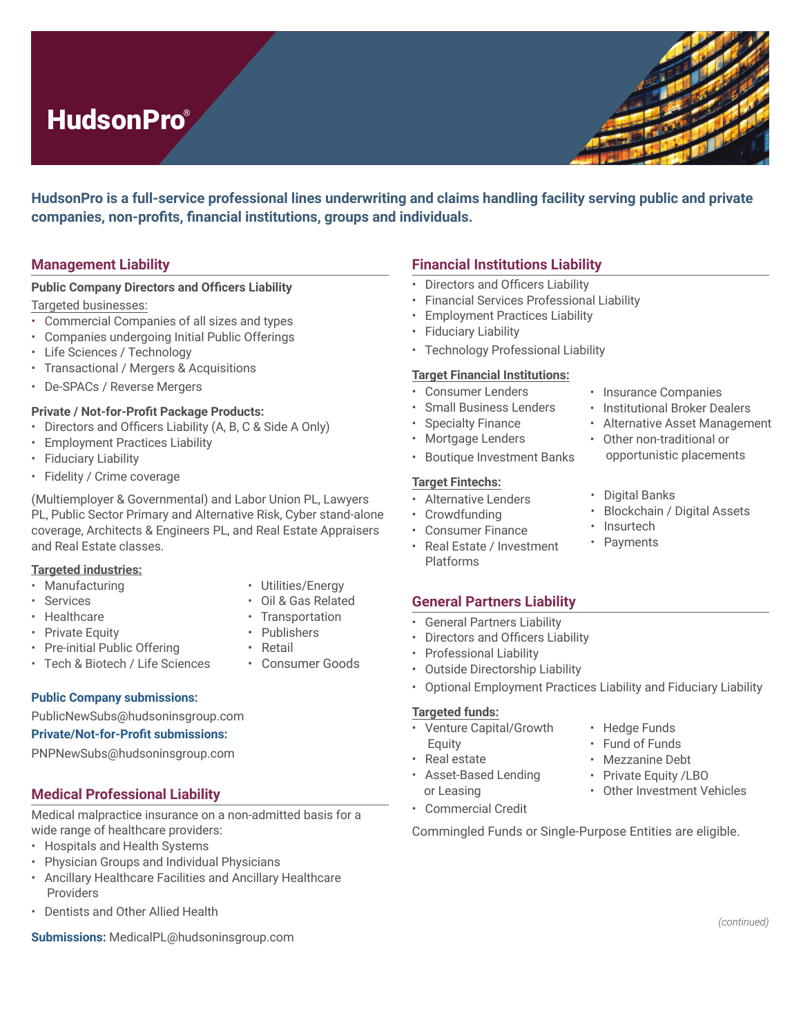# **HudsonPro**®

**HudsonPro is a full-service professional lines underwriting and claims handling facility serving public and private companies, non-profits, financial institutions, groups and individuals.**

# **Management Liability**

#### **Public Company Directors and Officers Liability**

ł

Targeted businesses:

- Commercial Companies of all sizes and types
- Companies undergoing Initial Public Offerings
- Life Sciences / Technology
- Transactional / Mergers & Acquisitions
- De-SPACs / Reverse Mergers

#### **Private / Not-for-Profit Package Products:**

- Directors and Officers Liability (A, B, C & Side A Only)
- Employment Practices Liability
- Fiduciary Liability
- Fidelity / Crime coverage

(Multiemployer & Governmental) and Labor Union PL, Lawyers PL, Public Sector Primary and Alternative Risk, Cyber stand-alone coverage, Architects & Engineers PL, and Real Estate Appraisers and Real Estate classes.

• Utilities/Energy

• Transportation • Publishers • Retail

• Consumer Goods

#### **Targeted industries:**

- Manufacturing
- Services
- Healthcare
- Private Equity
- Pre-initial Public Offering
- Tech & Biotech / Life Sciences

## **Public Company submissions:**

PublicNewSubs@hudsoninsgroup.com

#### **Private/Not-for-Profit submissions:**

PNPNewSubs@hudsoninsgroup.com

# **Medical Professional Liability**

Medical malpractice insurance on a non-admitted basis for a wide range of healthcare providers:

- Hospitals and Health Systems
- Physician Groups and Individual Physicians
- Ancillary Healthcare Facilities and Ancillary Healthcare Providers
- Dentists and Other Allied Health

**Submissions:** MedicalPL@hudsoninsgroup.com

## **Financial Institutions Liability**

- Directors and Officers Liability
- Financial Services Professional Liability
- Employment Practices Liability
- Fiduciary Liability
- Technology Professional Liability

# **Target Financial Institutions:**

- Consumer Lenders
- Small Business Lenders
- Specialty Finance
- Mortgage Lenders
- Boutique Investment Banks

## **Target Fintechs:**

- Alternative Lenders
- Crowdfunding
- 
- Real Estate / Investment Platforms

## **General Partners Liability**

- General Partners Liability
- Directors and Officers Liability
- Outside Directorship Liability
- Optional Employment Practices Liability and Fiduciary Liability

#### **Targeted funds:**

- Venture Capital/Growth Equity
- Real estate
- Asset-Based Lending or Leasing
- Commercial Credit

Commingled Funds or Single-Purpose Entities are eligible.

opportunistic placements

• Institutional Broker Dealers

- Digital Banks
- Blockchain / Digital Assets
- Insurtech • Payments

*(continued)*

- 
- 
- 
- -

• Hedge Funds • Fund of Funds • Mezzanine Debt • Private Equity /LBO • Other Investment Vehicles

• Alternative Asset Management • Other non-traditional or

- Oil & Gas Related
	-
	-
	-
	-
	- Professional Liability
		-
- 
- 
- Consumer Finance

• Insurance Companies